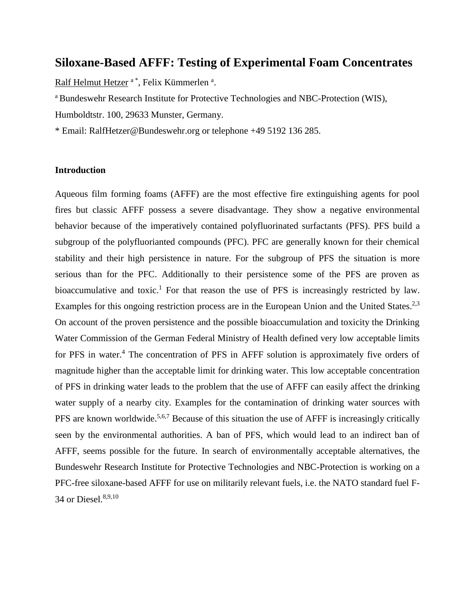# **Siloxane-Based AFFF: Testing of Experimental Foam Concentrates**

Ralf Helmut Hetzer <sup>a \*</sup>, Felix Kümmerlen <sup>a</sup>.

<sup>a</sup> Bundeswehr Research Institute for Protective Technologies and NBC-Protection (WIS),

Humboldtstr. 100, 29633 Munster, Germany.

\* Email: RalfHetzer@Bundeswehr.org or telephone +49 5192 136 285.

#### **Introduction**

<span id="page-0-1"></span><span id="page-0-0"></span>Aqueous film forming foams (AFFF) are the most effective fire extinguishing agents for pool fires but classic AFFF possess a severe disadvantage. They show a negative environmental behavior because of the imperatively contained polyfluorinated surfactants (PFS). PFS build a subgroup of the polyfluorianted compounds (PFC). PFC are generally known for their chemical stability and their high persistence in nature. For the subgroup of PFS the situation is more serious than for the PFC. Additionally to their persistence some of the PFS are proven as bioaccumulative and toxic.<sup>1</sup> For that reason the use of PFS is increasingly restricted by law. Examples for this ongoing restriction process are in the European Union and the United States.<sup>2,3</sup> On account of the proven persistence and the possible bioaccumulation and toxicity the Drinking Water Commission of the German Federal Ministry of Health defined very low acceptable limits for PFS in water. <sup>4</sup> The concentration of PFS in AFFF solution is approximately five orders of magnitude higher than the acceptable limit for drinking water. This low acceptable concentration of PFS in drinking water leads to the problem that the use of AFFF can easily affect the drinking water supply of a nearby city. Examples for the contamination of drinking water sources with PFS are known worldwide.<sup>5,6,7</sup> Because of this situation the use of AFFF is increasingly critically seen by the environmental authorities. A ban of PFS, which would lead to an indirect ban of AFFF, seems possible for the future. In search of environmentally acceptable alternatives, the Bundeswehr Research Institute for Protective Technologies and NBC-Protection is working on a PFC-free siloxane-based AFFF for use on militarily relevant fuels, i.e. the NATO standard fuel F-34 or Diesel. 8,9,10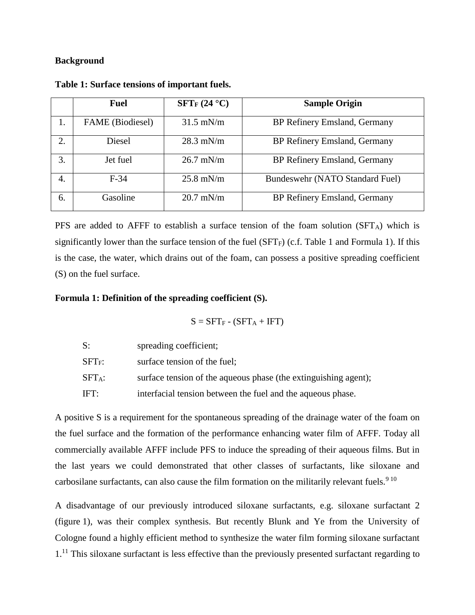#### **Background**

|    | <b>Fuel</b>      | $SFT_F (24 °C)$ | <b>Sample Origin</b>            |
|----|------------------|-----------------|---------------------------------|
| 1. | FAME (Biodiesel) | $31.5$ mN/m     | BP Refinery Emsland, Germany    |
| 2. | <b>Diesel</b>    | $28.3$ mN/m     | BP Refinery Emsland, Germany    |
| 3. | Jet fuel         | $26.7$ mN/m     | BP Refinery Emsland, Germany    |
| 4. | $F-34$           | $25.8$ mN/m     | Bundeswehr (NATO Standard Fuel) |
| 6. | Gasoline         | $20.7$ mN/m     | BP Refinery Emsland, Germany    |

<span id="page-1-0"></span>**Table 1: Surface tensions of important fuels.**

PFS are added to AFFF to establish a surface tension of the foam solution (SFT<sub>A</sub>) which is significantly lower than the surface tension of the fuel ( $SFT_F$ ) (c.f. [Table 1](#page-1-0) and Formula 1). If this is the case, the water, which drains out of the foam, can possess a positive spreading coefficient (S) on the fuel surface.

## **Formula 1: Definition of the spreading coefficient (S).**

$$
S = SFT_F - (SFT_A + IFT)
$$

| S:                    | spreading coefficient;                                          |
|-----------------------|-----------------------------------------------------------------|
| ${\rm SFT}_{\rm F}$ : | surface tension of the fuel;                                    |
| ${\rm SFT}$ a:        | surface tension of the aqueous phase (the extinguishing agent); |
| IFT:                  | interfacial tension between the fuel and the aqueous phase.     |

A positive S is a requirement for the spontaneous spreading of the drainage water of the foam on the fuel surface and the formation of the performance enhancing water film of AFFF. Today all commercially available AFFF include PFS to induce the spreading of their aqueous films. But in the last years we could demonstrated that other classes of surfactants, like siloxane and carbosilane surfactants, can also cause the film formation on the militarily relevant fuels.<sup>[9](#page-0-0) [10](#page-0-1)</sup>

<span id="page-1-1"></span>A disadvantage of our previously introduced siloxane surfactants, e.g. siloxane surfactant 2 (figure 1), was their complex synthesis. But recently Blunk and Ye from the University of Cologne found a highly efficient method to synthesize the water film forming siloxane surfactant  $1<sup>11</sup>$  This siloxane surfactant is less effective than the previously presented surfactant regarding to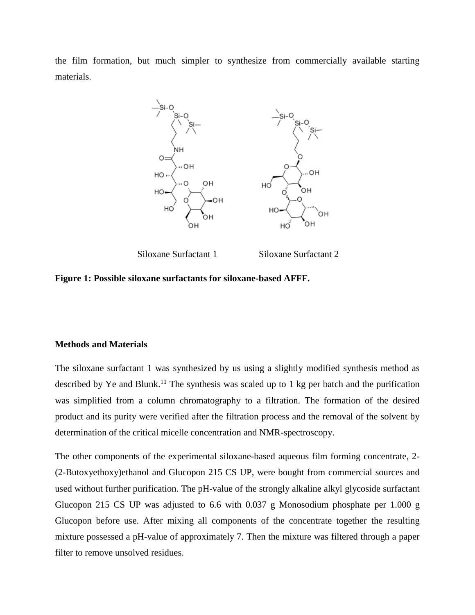the film formation, but much simpler to synthesize from commercially available starting materials.



Siloxane Surfactant 1 Siloxane Surfactant 2

**Figure 1: Possible siloxane surfactants for siloxane-based AFFF.**

## **Methods and Materials**

The siloxane surfactant 1 was synthesized by us using a slightly modified synthesis method as described by Ye and Blunk.<sup>[11](#page-1-1)</sup> The synthesis was scaled up to 1 kg per batch and the purification was simplified from a column chromatography to a filtration. The formation of the desired product and its purity were verified after the filtration process and the removal of the solvent by determination of the critical micelle concentration and NMR-spectroscopy.

The other components of the experimental siloxane-based aqueous film forming concentrate, 2- (2-Butoxyethoxy)ethanol and Glucopon 215 CS UP, were bought from commercial sources and used without further purification. The pH-value of the strongly alkaline alkyl glycoside surfactant Glucopon 215 CS UP was adjusted to 6.6 with 0.037 g Monosodium phosphate per 1.000 g Glucopon before use. After mixing all components of the concentrate together the resulting mixture possessed a pH-value of approximately 7. Then the mixture was filtered through a paper filter to remove unsolved residues.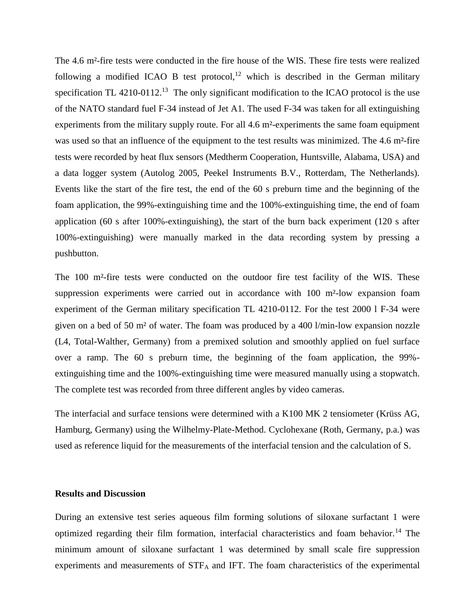The 4.6 m²-fire tests were conducted in the fire house of the WIS. These fire tests were realized following a modified ICAO B test protocol,<sup>12</sup> which is described in the German military specification TL  $4210-0112$ .<sup>13</sup> The only significant modification to the ICAO protocol is the use of the NATO standard fuel F-34 instead of Jet A1. The used F-34 was taken for all extinguishing experiments from the military supply route. For all 4.6 m²-experiments the same foam equipment was used so that an influence of the equipment to the test results was minimized. The 4.6 m<sup>2</sup>-fire tests were recorded by heat flux sensors (Medtherm Cooperation, Huntsville, Alabama, USA) and a data logger system (Autolog 2005, Peekel Instruments B.V., Rotterdam, The Netherlands). Events like the start of the fire test, the end of the 60 s preburn time and the beginning of the foam application, the 99%-extinguishing time and the 100%-extinguishing time, the end of foam application (60 s after 100%-extinguishing), the start of the burn back experiment (120 s after 100%-extinguishing) were manually marked in the data recording system by pressing a pushbutton.

The 100 m<sup>2</sup>-fire tests were conducted on the outdoor fire test facility of the WIS. These suppression experiments were carried out in accordance with 100 m<sup>2</sup>-low expansion foam experiment of the German military specification TL 4210-0112. For the test 2000 l F-34 were given on a bed of 50 m² of water. The foam was produced by a 400 l/min-low expansion nozzle (L4, Total-Walther, Germany) from a premixed solution and smoothly applied on fuel surface over a ramp. The 60 s preburn time, the beginning of the foam application, the 99% extinguishing time and the 100%-extinguishing time were measured manually using a stopwatch. The complete test was recorded from three different angles by video cameras.

The interfacial and surface tensions were determined with a K100 MK 2 tensiometer (Krüss AG, Hamburg, Germany) using the Wilhelmy-Plate-Method. Cyclohexane (Roth, Germany, p.a.) was used as reference liquid for the measurements of the interfacial tension and the calculation of S.

#### **Results and Discussion**

During an extensive test series aqueous film forming solutions of siloxane surfactant 1 were optimized regarding their film formation, interfacial characteristics and foam behavior.<sup>14</sup> The minimum amount of siloxane surfactant 1 was determined by small scale fire suppression experiments and measurements of STF<sup>A</sup> and IFT. The foam characteristics of the experimental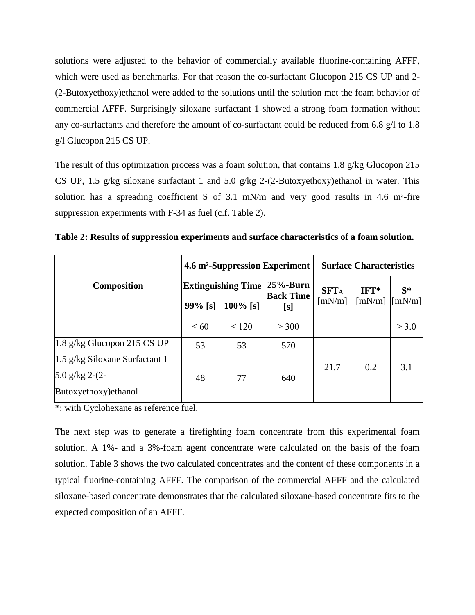solutions were adjusted to the behavior of commercially available fluorine-containing AFFF, which were used as benchmarks. For that reason the co-surfactant Glucopon 215 CS UP and 2- (2-Butoxyethoxy)ethanol were added to the solutions until the solution met the foam behavior of commercial AFFF. Surprisingly siloxane surfactant 1 showed a strong foam formation without any co-surfactants and therefore the amount of co-surfactant could be reduced from 6.8 g/l to 1.8 g/l Glucopon 215 CS UP.

The result of this optimization process was a foam solution, that contains 1.8 g/kg Glucopon 215 CS UP, 1.5 g/kg siloxane surfactant 1 and 5.0 g/kg 2-(2-Butoxyethoxy) ethanol in water. This solution has a spreading coefficient S of 3.1 mN/m and very good results in 4.6 m<sup>2</sup>-fire suppression experiments with F-34 as fuel (c.f. [Table 2\)](#page-4-0).

|                                  |                                      |             | 4.6 m <sup>2</sup> -Suppression Experiment | <b>Surface Characteristics</b> |                                               |            |
|----------------------------------|--------------------------------------|-------------|--------------------------------------------|--------------------------------|-----------------------------------------------|------------|
| <b>Composition</b>               | <b>Extinguishing Time   25%-Burn</b> |             | <b>Back Time</b>                           | <b>SFTA</b>                    | $IFT*$                                        | $S^*$      |
|                                  | $99\%$ [s]                           | $100\%$ [s] | [s]                                        | [mN/m]                         | $\lceil$ mN/m $\rceil$ $\lceil$ mN/m $\rceil$ |            |
|                                  | $\leq 60$                            | < 120       | $\geq 300$                                 |                                |                                               | $\geq 3.0$ |
| $1.8$ g/kg Glucopon 215 CS UP    | 53                                   | 53          | 570                                        |                                |                                               |            |
| $1.5$ g/kg Siloxane Surfactant 1 |                                      |             |                                            | 21.7                           | 0.2                                           | 3.1        |
| 5.0 g/kg $2-(2-$                 | 48                                   | 77          | 640                                        |                                |                                               |            |
| Butoxyethoxy) ethanol            |                                      |             |                                            |                                |                                               |            |

<span id="page-4-0"></span>**Table 2: Results of suppression experiments and surface characteristics of a foam solution.** 

\*: with Cyclohexane as reference fuel.

The next step was to generate a firefighting foam concentrate from this experimental foam solution. A 1%- and a 3%-foam agent concentrate were calculated on the basis of the foam solution. [Table 3](#page-5-0) shows the two calculated concentrates and the content of these components in a typical fluorine-containing AFFF. The comparison of the commercial AFFF and the calculated siloxane-based concentrate demonstrates that the calculated siloxane-based concentrate fits to the expected composition of an AFFF.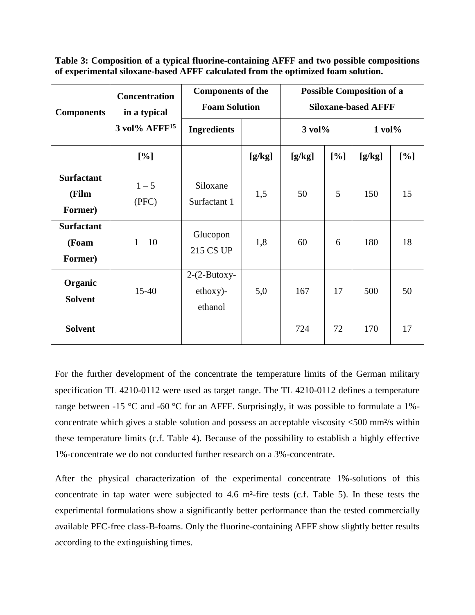<span id="page-5-0"></span>**Table 3: Composition of a typical fluorine-containing AFFF and two possible compositions of experimental siloxane-based AFFF calculated from the optimized foam solution.**

| <b>Components</b>                     | <b>Concentration</b><br>in a typical | <b>Components of the</b><br><b>Foam Solution</b> |        | <b>Possible Composition of a</b><br><b>Siloxane-based AFFF</b> |     |              |     |
|---------------------------------------|--------------------------------------|--------------------------------------------------|--------|----------------------------------------------------------------|-----|--------------|-----|
|                                       | $3$ vol% $AFFF15$                    | <b>Ingredients</b>                               |        | $3$ vol $\%$                                                   |     | $1$ vol $\%$ |     |
|                                       | $[\%]$                               |                                                  | [g/kg] | [g/kg]                                                         | [%] | [g/kg]       | [%] |
| <b>Surfactant</b><br>(Film<br>Former) | $1 - 5$<br>(PFC)                     | Siloxane<br>Surfactant 1                         | 1,5    | 50                                                             | 5   | 150          | 15  |
| <b>Surfactant</b><br>(Foam<br>Former) | $1 - 10$                             | Glucopon<br>215 CS UP                            | 1,8    | 60                                                             | 6   | 180          | 18  |
| Organic<br><b>Solvent</b>             | $15 - 40$                            | $2-(2-Butoxy-$<br>$ethoxy$ -<br>ethanol          | 5,0    | 167                                                            | 17  | 500          | 50  |
| <b>Solvent</b>                        |                                      |                                                  |        | 724                                                            | 72  | 170          | 17  |

For the further development of the concentrate the temperature limits of the German military specification TL 4210-0112 were used as target range. The TL 4210-0112 defines a temperature range between -15 °C and -60 °C for an AFFF. Surprisingly, it was possible to formulate a 1%concentrate which gives a stable solution and possess an acceptable viscosity <500 mm²/s within these temperature limits (c.f. [Table 4\)](#page-6-0). Because of the possibility to establish a highly effective 1%-concentrate we do not conducted further research on a 3%-concentrate.

After the physical characterization of the experimental concentrate 1%-solutions of this concentrate in tap water were subjected to 4.6 m²-fire tests (c.f. [Table 5\)](#page-6-1). In these tests the experimental formulations show a significantly better performance than the tested commercially available PFC-free class-B-foams. Only the fluorine-containing AFFF show slightly better results according to the extinguishing times.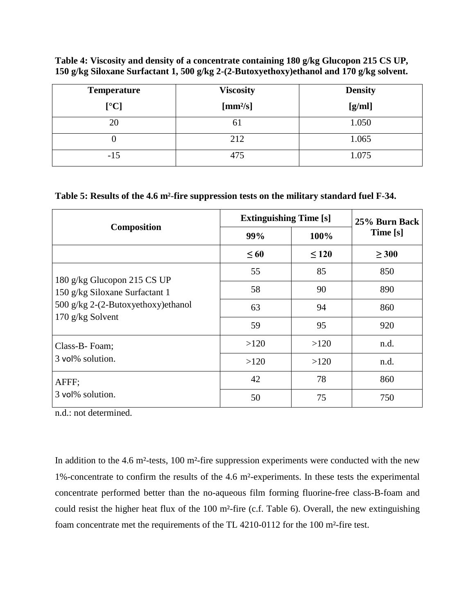<span id="page-6-0"></span>**Table 4: Viscosity and density of a concentrate containing 180 g/kg Glucopon 215 CS UP, 150 g/kg Siloxane Surfactant 1, 500 g/kg 2-(2-Butoxyethoxy)ethanol and 170 g/kg solvent.**

| <b>Temperature</b> | <b>Viscosity</b> | <b>Density</b> |  |  |
|--------------------|------------------|----------------|--|--|
| [°C]               | $[mm^2/s]$       | [g/ml]         |  |  |
| 20                 | 61               | 1.050          |  |  |
|                    | 212              | 1.065          |  |  |
| $-15$              | 475              | 1.075          |  |  |

## <span id="page-6-1"></span>**Table 5: Results of the 4.6 m²-fire suppression tests on the military standard fuel F-34.**

|                                    | <b>Extinguishing Time [s]</b> | 25% Burn Back |            |
|------------------------------------|-------------------------------|---------------|------------|
| <b>Composition</b>                 | 99%                           | 100%          | Time [s]   |
|                                    | $\leq 60$                     | $\leq 120$    | $\geq 300$ |
| 180 g/kg Glucopon 215 CS UP        | 55                            | 85            | 850        |
| 150 g/kg Siloxane Surfactant 1     | 58                            | 90            | 890        |
| 500 g/kg 2-(2-Butoxyethoxy)ethanol | 63                            | 94            | 860        |
| $170$ g/kg Solvent                 | 59                            | 95            | 920        |
| Class-B- Foam;                     | >120                          | >120          | n.d.       |
| 3 vol% solution.                   | >120                          | >120          | n.d.       |
| AFFF;                              | 42                            | 78            | 860        |
| 3 vol% solution.                   | 50                            | 75            | 750        |

n.d.: not determined.

In addition to the 4.6 m<sup>2</sup>-tests, 100 m<sup>2</sup>-fire suppression experiments were conducted with the new 1%-concentrate to confirm the results of the 4.6 m²-experiments. In these tests the experimental concentrate performed better than the no-aqueous film forming fluorine-free class-B-foam and could resist the higher heat flux of the 100 m²-fire (c.f. [Table 6\)](#page-7-0). Overall, the new extinguishing foam concentrate met the requirements of the TL 4210-0112 for the 100 m²-fire test.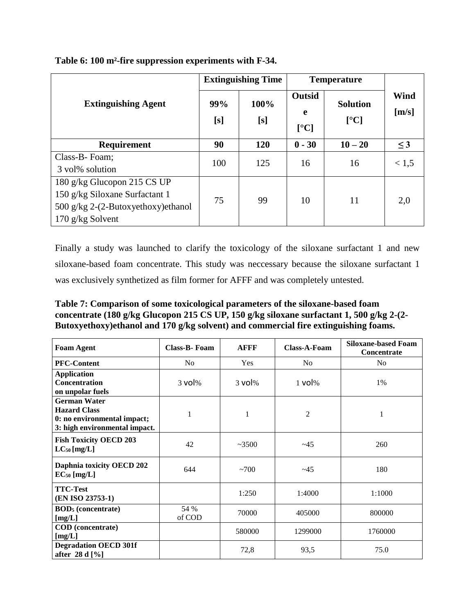|                                      |            | <b>Extinguishing Time</b> | <b>Temperature</b>                             |                         |               |
|--------------------------------------|------------|---------------------------|------------------------------------------------|-------------------------|---------------|
| <b>Extinguishing Agent</b>           | 99%<br>[s] | 100%<br>[s]               | <b>Outsid</b><br>e<br>$\lceil$ <sup>o</sup> Cl | <b>Solution</b><br>[°C] | Wind<br>[m/s] |
| Requirement                          | 90         | 120                       | $0 - 30$                                       | $10 - 20$               | $\leq$ 3      |
| Class-B-Foam;                        | 100        | 125                       | 16                                             | 16                      | < 1, 5        |
| 3 vol% solution                      |            |                           |                                                |                         |               |
| 180 g/kg Glucopon 215 CS UP          |            |                           |                                                |                         |               |
| 150 g/kg Siloxane Surfactant 1       | 75         | 99                        | 10                                             | 11                      | 2,0           |
| 500 g/kg $2-(2-Butoxyethoxy)ethanol$ |            |                           |                                                |                         |               |
| 170 g/kg Solvent                     |            |                           |                                                |                         |               |

## <span id="page-7-0"></span>**Table 6: 100 m²-fire suppression experiments with F-34.**

Finally a study was launched to clarify the toxicology of the siloxane surfactant 1 and new siloxane-based foam concentrate. This study was neccessary because the siloxane surfactant 1 was exclusively synthetized as film former for AFFF and was completely untested.

<span id="page-7-1"></span>**Table 7: Comparison of some toxicological parameters of the siloxane-based foam concentrate (180 g/kg Glucopon 215 CS UP, 150 g/kg siloxane surfactant 1, 500 g/kg 2-(2- Butoxyethoxy)ethanol and 170 g/kg solvent) and commercial fire extinguishing foams.** 

| <b>Foam Agent</b>                                                                                          | Class-B-Foam   | <b>AFFF</b> | <b>Class-A-Foam</b> | <b>Siloxane-based Foam</b><br>Concentrate |
|------------------------------------------------------------------------------------------------------------|----------------|-------------|---------------------|-------------------------------------------|
| <b>PFC-Content</b>                                                                                         | N <sub>o</sub> | Yes         | N <sub>o</sub>      | No                                        |
| <b>Application</b><br>Concentration<br>on unpolar fuels                                                    | $3$ vol $%$    | $3$ vol $%$ | $1$ vol $%$         | 1%                                        |
| <b>German Water</b><br><b>Hazard Class</b><br>0: no environmental impact;<br>3: high environmental impact. | $\mathbf{1}$   | 1           | 2                   | $\mathbf{1}$                              |
| <b>Fish Toxicity OECD 203</b><br>$LC_{50}$ [mg/L]                                                          | 42             | ~23500      | ~145                | 260                                       |
| Daphnia toxicity OECD 202<br>$EC_{50}$ [mg/L]                                                              | 644            | ~100        | ~145                | 180                                       |
| <b>TTC-Test</b><br>(EN ISO 23753-1)                                                                        |                | 1:250       | 1:4000              | 1:1000                                    |
| <b>BOD</b> <sub>5</sub> (concentrate)<br>[mg/L]                                                            | 54 %<br>of COD | 70000       | 405000              | 800000                                    |
| <b>COD</b> (concentrate)<br>[mg/L]                                                                         |                | 580000      | 1299000             | 1760000                                   |
| <b>Degradation OECD 301f</b><br>after 28 d [%]                                                             |                | 72,8        | 93.5                | 75.0                                      |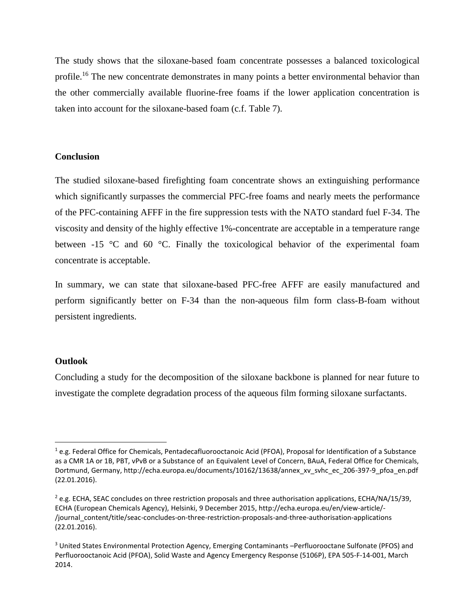The study shows that the siloxane-based foam concentrate possesses a balanced toxicological profile.<sup>16</sup> The new concentrate demonstrates in many points a better environmental behavior than the other commercially available fluorine-free foams if the lower application concentration is taken into account for the siloxane-based foam (c.f. [Table 7\)](#page-7-1).

## **Conclusion**

The studied siloxane-based firefighting foam concentrate shows an extinguishing performance which significantly surpasses the commercial PFC-free foams and nearly meets the performance of the PFC-containing AFFF in the fire suppression tests with the NATO standard fuel F-34. The viscosity and density of the highly effective 1%-concentrate are acceptable in a temperature range between -15 °C and 60 °C. Finally the toxicological behavior of the experimental foam concentrate is acceptable.

In summary, we can state that siloxane-based PFC-free AFFF are easily manufactured and perform significantly better on F-34 than the non-aqueous film form class-B-foam without persistent ingredients.

#### **Outlook**

-

Concluding a study for the decomposition of the siloxane backbone is planned for near future to investigate the complete degradation process of the aqueous film forming siloxane surfactants.

 $1$  e.g. Federal Office for Chemicals, Pentadecafluorooctanoic Acid (PFOA), Proposal for Identification of a Substance as a CMR 1A or 1B, PBT, vPvB or a Substance of an Equivalent Level of Concern, BAuA, Federal Office for Chemicals, Dortmund, Germany, http://echa.europa.eu/documents/10162/13638/annex\_xv\_svhc\_ec\_206-397-9\_pfoa\_en.pdf (22.01.2016).

 $^{2}$  e.g. ECHA, SEAC concludes on three restriction proposals and three authorisation applications, ECHA/NA/15/39, ECHA (European Chemicals Agency), Helsinki, 9 December 2015, http://echa.europa.eu/en/view-article/- /journal\_content/title/seac-concludes-on-three-restriction-proposals-and-three-authorisation-applications (22.01.2016).

<sup>3</sup> United States Environmental Protection Agency, Emerging Contaminants –Perfluorooctane Sulfonate (PFOS) and Perfluorooctanoic Acid (PFOA), Solid Waste and Agency Emergency Response (5106P), EPA 505-F-14-001, March 2014.